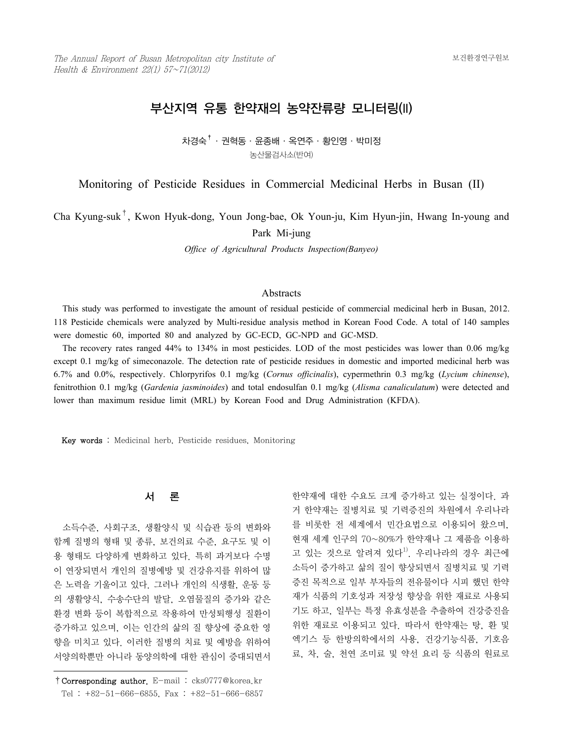# 부산지역 유통 한약재의 농약잔류량 모니터링(II)

차경숙 $^\dagger$ ㆍ권혁동ㆍ윤종배ㆍ옥연주ㆍ황인영ㆍ박미정 농산물검사소(반여)

Monitoring of Pesticide Residues in Commercial Medicinal Herbs in Busan (II)

Cha Kyung-suk†, Kwon Hyuk-dong, Youn Jong-bae, Ok Youn-ju, Kim Hyun-jin, Hwang In-young and

Park Mi-jung

*Office of Agricultural Products Inspection(Banyeo)*

## **Abstracts**

 This study was performed to investigate the amount of residual pesticide of commercial medicinal herb in Busan, 2012. 118 Pesticide chemicals were analyzed by Multi-residue analysis method in Korean Food Code. A total of 140 samples were domestic 60, imported 80 and analyzed by GC-ECD, GC-NPD and GC-MSD.

 The recovery rates ranged 44% to 134% in most pesticides. LOD of the most pesticides was lower than 0.06 mg/kg except 0.1 mg/kg of simeconazole. The detection rate of pesticide residues in domestic and imported medicinal herb was 6.7% and 0.0%, respectively. Chlorpyrifos 0.1 mg/kg (*Cornus officinalis*), cypermethrin 0.3 mg/kg (*Lycium chinense*), fenitrothion 0.1 mg/kg (*Gardenia jasminoides*) and total endosulfan 0.1 mg/kg (*Alisma canaliculatum*) were detected and lower than maximum residue limit (MRL) by Korean Food and Drug Administration (KFDA).

Key words : Medicinal herb, Pesticide residues, Monitoring

#### 서 론

 소득수준, 사회구조, 생활양식 및 식습관 등의 변화와 함께 질병의 형태 및 종류, 보건의료 수준, 요구도 및 이 용 형태도 다양하게 변화하고 있다. 특히 과거보다 수명 이 연장되면서 개인의 질병예방 및 건강유지를 위하여 많 은 노력을 기울이고 있다. 그러나 개인의 식생활, 운동 등 의 생활양식, 수송수단의 발달, 오염물질의 증가와 같은 환경 변화 등이 복합적으로 작용하여 만성퇴행성 질환이 증가하고 있으며, 이는 인간의 삶의 질 향상에 중요한 영 향을 미치고 있다. 이러한 질병의 치료 및 예방을 위하여 서양의학뿐만 아니라 동양의학에 대한 관심이 증대되면서

한약재에 대한 수요도 크게 증가하고 있는 실정이다. 과 거 한약재는 질병치료 및 기력증진의 차원에서 우리나라 를 비롯한 전 세계에서 민간요법으로 이용되어 왔으며, 현재 세계 인구의 70~80%가 한약재나 그 제품을 이용하 고 있는 것으로 알려져 있다<sup>1)</sup>. 우리나라의 경우 최근에 소득이 증가하고 삶의 질이 향상되면서 질병치료 및 기력 증진 목적으로 일부 부자들의 전유물이다 시피 했던 한약 재가 식품의 기호성과 저장성 향상을 위한 재료로 사용되 기도 하고, 일부는 특정 유효성분을 추출하여 건강증진을 위한 재료로 이용되고 있다. 따라서 한약재는 탕, 환 및 엑기스 등 한방의학에서의 사용, 건강기능식품, 기호음 료, 차, 술, 천연 조미료 및 약선 요리 등 식품의 원료로

<sup>†</sup>Corresponding author. E-mail : cks0777@korea.kr Tel : +82-51-666-6855, Fax : +82-51-666-6857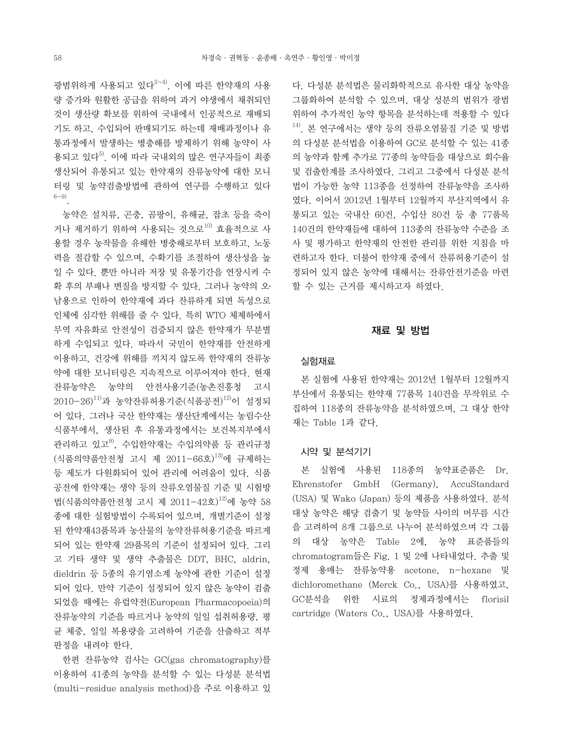광범위하게 사용되고 있다<sup>2~4)</sup>. 이에 따른 한약재의 사용 량 증가와 원활한 공급을 위하여 과거 야생에서 채취되던 것이 생산량 확보를 위하여 국내에서 인공적으로 재배되 기도 하고, 수입되어 판매되기도 하는데 재배과정이나 유 통과정에서 발생하는 병충해를 방제하기 위해 농약이 사 용되고 있다5). 이에 따라 국내외의 많은 연구자들이 최종 생산되어 유통되고 있는 한약재의 잔류농약에 대한 모니 터링 및 농약검출방법에 관하여 연구를 수행하고 있다 6~9).

 농약은 설치류, 곤충, 곰팡이, 유해균, 잡초 등을 죽이 거나 제거하기 위하여 사용되는 것으로 $^{10)}$  효율적으로 사 용할 경우 농작물을 유해한 병충해로부터 보호하고, 노동 력을 절감할 수 있으며, 수확기를 조절하여 생산성을 높 일 수 있다. 뿐만 아니라 저장 및 유통기간을 연장시켜 수 확 후의 부패나 변질을 방지할 수 있다. 그러나 농약의 오․ 남용으로 인하여 한약재에 과다 잔류하게 되면 독성으로 인체에 심각한 위해를 줄 수 있다. 특히 WTO 체제하에서 무역 자유화로 안전성이 검증되지 않은 한약재가 무분별 하게 수입되고 있다. 따라서 국민이 한약재를 안전하게 이용하고, 건강에 위해를 끼치지 않도록 한약재의 잔류농 약에 대한 모니터링은 지속적으로 이루어져야 한다. 현재 잔류농약은 농약의 안전사용기준(농촌진흥청 고시  $2010-26$ <sup>11)</sup>과 농약잔류허용기주(식품공전)<sup>12)</sup>이 설정되 어 있다. 그러나 국산 한약재는 생산단계에서는 농림수산 식품부에서, 생산된 후 유통과정에서는 보건복지부에서 관리하고 있고 $^{9}$ , 수입한약재는 수입의약품 등 관리규정 (식품의약품안전청 고시 제 2011-66호)<sup>13)</sup>에 규제하는 등 제도가 다원화되어 있어 관리에 어려움이 있다. 식품 공전에 한약재는 생약 등의 잔류오염물질 기준 및 시험방 법(식품의약품안전청 고시 제 2011-42호)<sup>12)</sup>에 농약 58 종에 대한 실험방법이 수록되어 있으며, 개별기준이 설정 된 한약재43품목과 농산물의 농약잔류허용기준을 따르게 되어 있는 한약재 29품목의 기준이 설정되어 있다. 그리 고 기타 생약 및 생약 추출물은 DDT, BHC, aldrin, dieldrin 등 5종의 유기염소계 농약에 관한 기준이 설정 되어 있다. 만약 기준이 설정되어 있지 않은 농약이 검출 되었을 때에는 유럽약전(European Pharmacopoeia)의 잔류농약의 기준을 따르거나 농약의 일일 섭취허용량, 평 균 체중, 일일 복용량을 고려하여 기준을 산출하고 적부 판정을 내려야 한다.

 한편 잔류농약 검사는 GC(gas chromatography)를 이용하여 41종의 농약을 분석할 수 있는 다성분 분석법 (multi-residue analysis method)을 주로 이용하고 있 다. 다성분 분석법은 물리화학적으로 유사한 대상 농약을 그룹화하여 분석할 수 있으며, 대상 성분의 범위가 광범 위하여 추가적인 농약 항목을 분석하는데 적용할 수 있다  $14$ ). 본 연구에서는 생약 등의 잔류오염물질 기준 및 방법 의 다성분 분석법을 이용하여 GC로 분석할 수 있는 41종 의 농약과 함께 추가로 77종의 농약들을 대상으로 회수율 및 검출한계를 조사하였다. 그리고 그중에서 다성분 분석 법이 가능한 농약 113종을 선정하여 잔류농약을 조사하 였다. 이어서 2012년 1월부터 12월까지 부산지역에서 유 통되고 있는 국내산 60건, 수입산 80건 등 총 77품목 140건의 한약재들에 대하여 113종의 잔류농약 수준을 조 사 및 평가하고 한약재의 안전한 관리를 위한 지침을 마 련하고자 한다. 더불어 한약재 중에서 잔류허용기준이 설 정되어 있지 않은 농약에 대해서는 잔류안전기준을 마련 할 수 있는 근거를 제시하고자 하였다.

### 재료 및 방법

#### 실험재료

 본 실험에 사용된 한약재는 2012년 1월부터 12월까지 부산에서 유통되는 한약재 77품목 140건을 무작위로 수 집하여 118종의 잔류농약을 분석하였으며, 그 대상 한약 재는 Table 1과 같다.

## 시약 및 분석기기

 본 실험에 사용된 118종의 농약표준품은 Dr. Ehrenstofer GmbH (Germany), AccuStandard (USA) 및 Wako (Japan) 등의 제품을 사용하였다. 분석 대상 농약은 해당 검출기 및 농약들 사이의 머무름 시간 을 고려하여 8개 그룹으로 나누어 분석하였으며 각 그룹 의 대상 농약은 Table 2에, 농약 표준품들의 chromatogram들은 Fig. 1 및 2에 나타내었다. 추출 및 정제 용매는 잔류농약용 acetone, n-hexane 및 dichloromethane (Merck Co., USA)를 사용하였고, GC분석을 위한 시료의 정제과정에서는 florisil cartridge (Waters Co., USA)를 사용하였다.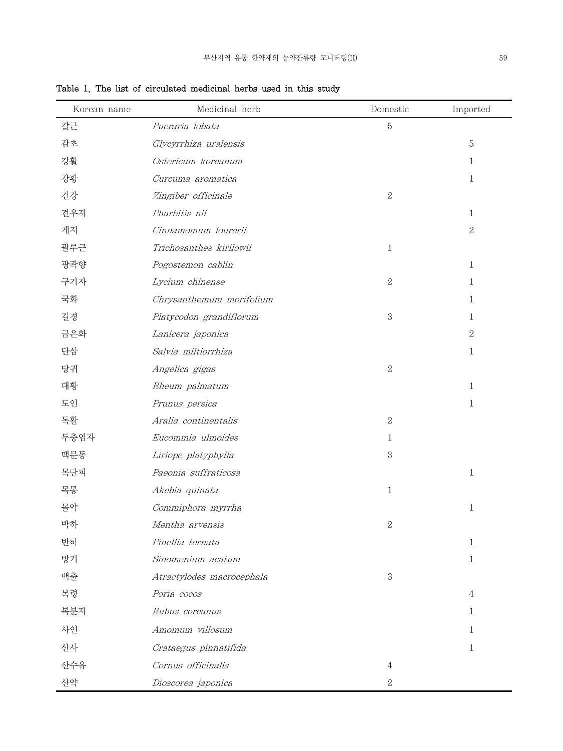| Korean name | Medicinal herb            | Domestic       | Imported       |
|-------------|---------------------------|----------------|----------------|
| 갈근          | Pueraria lobata           | $\mathbf 5$    |                |
| 감초          | Glycyrrhiza uralensis     |                | $\mathbf 5$    |
| 강활          | Ostericum koreanum        |                | 1              |
| 강황          | Curcuma aromatica         |                | $\mathbf{1}$   |
| 건강          | Zingiber officinale       | $\sqrt{2}$     |                |
| 견우자         | Pharbitis nil             |                | 1              |
| 계지          | Cinnamomum lourerii       |                | $\overline{2}$ |
| 괄루근         | Trichosanthes kirilowii   | $\mathbf{1}$   |                |
| 광곽향         | Pogostemon cablin         |                | $\mathbf{1}$   |
| 구기자         | Lycium chinense           | $\overline{2}$ | 1              |
| 국화          | Chrysanthemum morifolium  |                | 1              |
| 길경          | Platycodon grandiflorum   | $\,3$          | 1              |
| 금은화         | Lanicera japonica         |                | $\,2$          |
| 단삼          | Salvia miltiorrhiza       |                | $\mathbf{1}$   |
| 당귀          | Angelica gigas            | $\,2$          |                |
| 대황          | Rheum palmatum            |                | 1              |
| 도인          | Prunus persica            |                | 1              |
| 독활          | Aralia continentalis      | $\overline{2}$ |                |
| 두충염자        | Eucommia ulmoides         | 1              |                |
| 맥문동         | Liriope platyphylla       | $\,3$          |                |
| 목단피         | Paeonia suffraticosa      |                | $\mathbf{1}$   |
| 목통          | Akebia quinata            | $\mathbf{1}$   |                |
| 몰약          | Commiphora myrrha         |                | 1              |
| 박하          | Mentha arvensis           | $\overline{2}$ |                |
| 반하          | Pinellia ternata          |                | 1              |
| 방기          | Sinomenium acatum         |                | 1              |
| 백출          | Atractylodes macrocephala | $\,3$          |                |
| 복령          | Poria cocos               |                | 4              |
| 복분자         | Rubus coreanus            |                | 1              |
| 사인          | Amomum villosum           |                | 1              |
| 산사          | Crataegus pinnatifida     |                | 1              |
| 산수유         | Cornus officinalis        | 4              |                |
| 산약          | Dioscorea japonica        | $\,2$          |                |

Table 1. The list of circulated medicinal herbs used in this study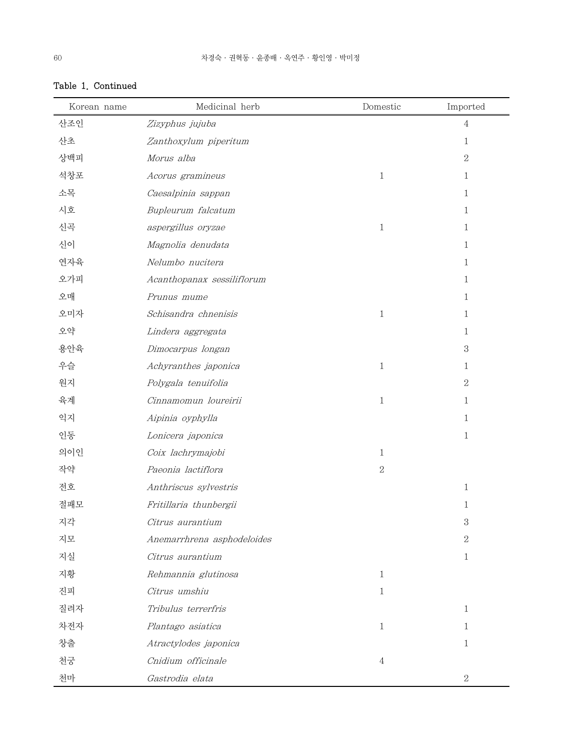| Korean name | Medicinal herb             | Domestic     | Imported       |
|-------------|----------------------------|--------------|----------------|
| 산조인         | Zizyphus jujuba            |              | $\overline{4}$ |
| 산초          | Zanthoxylum piperitum      |              | $\mathbf{1}$   |
| 상백피         | Morus alba                 |              | $\overline{2}$ |
| 석창포         | Acorus gramineus           | $\mathbf{1}$ | $\mathbf{1}$   |
| 소목          | Caesalpinia sappan         |              | $\mathbf{1}$   |
| 시호          | Bupleurum falcatum         |              | $\mathbf{1}$   |
| 신곡          | aspergillus oryzae         | $\mathbf{1}$ | $\mathbf{1}$   |
| 신이          | Magnolia denudata          |              | $\mathbf{1}$   |
| 연자육         | Nelumbo nucitera           |              | $\mathbf{1}$   |
| 오가피         | Acanthopanax sessiliflorum |              | $\mathbf{1}$   |
| 오매          | Prunus mume                |              | $\mathbf{1}$   |
| 오미자         | Schisandra chnenisis       | $\mathbf{1}$ | $\mathbf{1}$   |
| 오약          | Lindera aggregata          |              | $\mathbf{1}$   |
| 용안육         | Dimocarpus longan          |              | $\mathbf{3}$   |
| 우슬          | Achyranthes japonica       | $\mathbf{1}$ | 1              |
| 원지          | Polygala tenuifolia        |              | $\overline{2}$ |
| 육계          | Cinnamomun loureirii       | $\mathbf{1}$ | 1              |
| 익지          | Aipinia oyphylla           |              | 1              |
| 인동          | Lonicera japonica          |              | $\mathbf{1}$   |
| 의이인         | Coix lachrymajobi          | $\mathbf{1}$ |                |
| 작약          | Paeonia lactiflora         | $\,2$        |                |
| 전호          | Anthriscus sylvestris      |              | $\mathbf{1}$   |
| 절패모         | Fritillaria thunbergii     |              | $\mathbf{1}$   |
| 지각          | Citrus aurantium           |              | 3              |
| 지모          | Anemarrhrena asphodeloides |              | $\sqrt{2}$     |
| 지실          | Citrus aurantium           |              | $\mathbf{1}$   |
| 지황          | Rehmannia glutinosa        | $\mathbf{1}$ |                |
| 진피          | Citrus umshiu              | $\mathbf{1}$ |                |
| 질려자         | Tribulus terrerfris        |              | $\mathbf{1}$   |
| 차전자         | Plantago asiatica          | $\mathbf{1}$ | 1              |
| 창출          | Atractylodes japonica      |              | 1              |
| 천궁          | Cnidium officinale         | 4            |                |
| 천마          | Gastrodia elata            |              | $\overline{2}$ |

## Table 1. Continued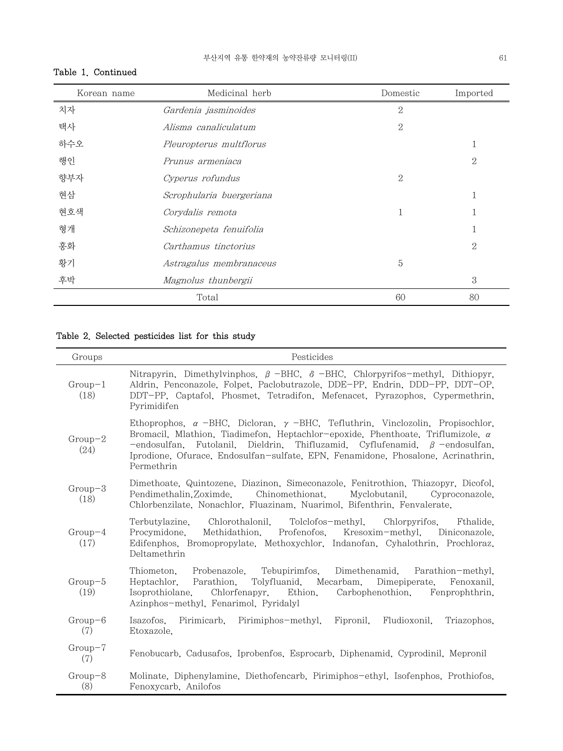# Table 1. Continued

| Korean name | Medicinal herb           | Domestic       | Imported       |
|-------------|--------------------------|----------------|----------------|
| 치자          | Gardenia jasminoides     | $\mathbf{2}$   |                |
| 택사          | Alisma canaliculatum     | $\overline{2}$ |                |
| 하수오         | Pleuropterus multflorus  |                |                |
| 행인          | Prunus armeniaca         |                | $\overline{2}$ |
| 향부자         | Cyperus rofundus         | $\overline{2}$ |                |
| 현삼          | Scrophularia buergeriana |                | T              |
| 현호색         | Corydalis remota         | 1              |                |
| 형개          | Schizonepeta fenuifolia  |                |                |
| 홍화          | Carthamus tinctorius     |                | $\mathbf{2}$   |
| 황기          | Astragalus membranaceus  | 5              |                |
| 후박          | Magnolus thunbergii      |                | 3              |
|             | Total                    | 60             | 80             |

## Table 2. Selected pesticides list for this study

| Groups            | Pesticides                                                                                                                                                                                                                                                                                                                                                                   |
|-------------------|------------------------------------------------------------------------------------------------------------------------------------------------------------------------------------------------------------------------------------------------------------------------------------------------------------------------------------------------------------------------------|
| $Group-1$<br>(18) | Nitrapyrin, Dimethylvinphos, $\beta$ -BHC, $\delta$ -BHC, Chlorpyrifos-methyl, Dithiopyr,<br>Aldrin, Penconazole, Folpet, Paclobutrazole, DDE-PP, Endrin, DDD-PP, DDT-OP,<br>DDT-PP, Captafol, Phosmet, Tetradifon, Mefenacet, Pyrazophos, Cypermethrin,<br>Pyrimidifen                                                                                                      |
| $Group-2$<br>(24) | Ethoprophos, $\alpha$ –BHC, Dicloran, $\gamma$ –BHC, Tefluthrin, Vinclozolin, Propisochlor,<br>Bromacil, Mlathion, Tiadimefon, Heptachlor-epoxide, Phenthoate, Triflumizole, $\alpha$<br>-endosulfan, Futolanil, Dieldrin, Thifluzamid, Cyflufenamid, $\beta$ -endosulfan,<br>Iprodione, Ofurace, Endosulfan-sulfate, EPN, Fenamidone, Phosalone, Acrinathrin,<br>Permethrin |
| $Group-3$<br>(18) | Dimethoate, Quintozene, Diazinon, Simeconazole, Fenitrothion, Thiazopyr, Dicofol,<br>Pendimethalin, Zoximde, Chinomethionat, Myclobutanil, Cyproconazole,<br>Chlorbenzilate, Nonachlor, Fluazinam, Nuarimol, Bifenthrin, Fenvalerate,                                                                                                                                        |
| $Group-4$<br>(17) | Chlorothalonil, Tolclofos-methyl, Chlorpyrifos, Fthalide,<br>Terbutylazine.<br>Procymidone.<br>Methidathion, Profenofos, Kresoxim-methyl, Diniconazole,<br>Edifenphos, Bromopropylate, Methoxychlor, Indanofan, Cyhalothrin, Prochloraz,<br>Deltamethrin                                                                                                                     |
| $Group-5$<br>(19) | Probenazole, Tebupirimfos,<br>Dimethenamid, Parathion-methyl,<br>Thiometon.<br>Parathion, Tolyfluanid, Mecarbam, Dimepiperate, Fenoxanil,<br>Heptachlor.<br>Chlorfenapyr, Ethion,<br>Isoprothiolane.<br>Carbophenothion,<br>Fenprophthrin,<br>Azinphos-methyl, Fenarimol, Pyridalyl                                                                                          |
| $Group-6$<br>(7)  | Pirimicarb, Pirimiphos-methyl,<br>Fipronil,<br>Isazofos.<br>Fludioxonil.<br>Triazophos.<br>Etoxazole.                                                                                                                                                                                                                                                                        |
| $Group-7$<br>(7)  | Fenobucarb, Cadusafos, Iprobenfos, Esprocarb, Diphenamid, Cyprodinil, Mepronil                                                                                                                                                                                                                                                                                               |
| $Group-8$<br>(8)  | Molinate, Diphenylamine, Diethofencarb, Pirimiphos-ethyl, Isofenphos, Prothiofos,<br>Fenoxycarb, Anilofos                                                                                                                                                                                                                                                                    |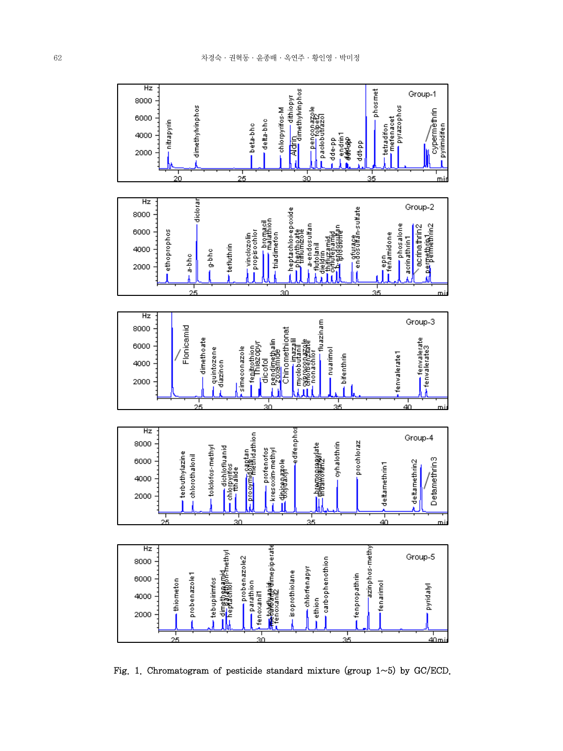

Fig. 1. Chromatogram of pesticide standard mixture (group  $1 \sim 5$ ) by GC/ECD.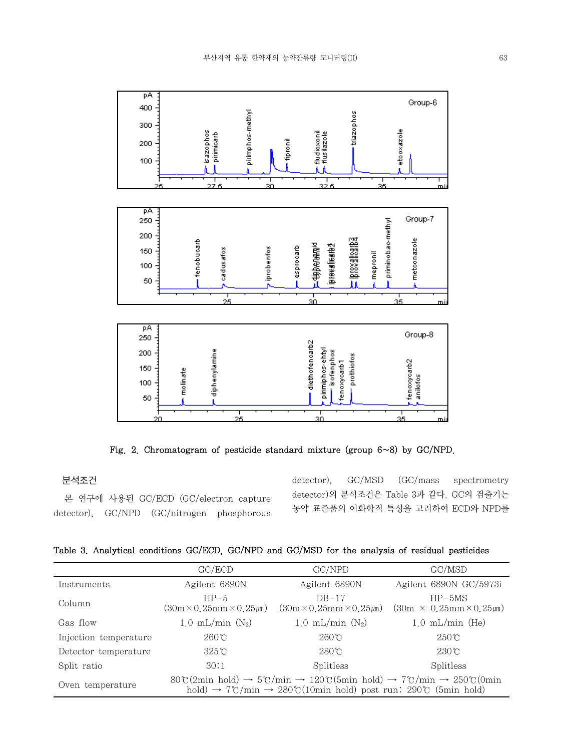

Fig. 2. Chromatogram of pesticide standard mixture (group 6~8) by GC/NPD.

30

 $25$ 

## 분석조건

 본 연구에 사용된 GC/ECD (GC/electron capture detector), GC/NPD (GC/nitrogen phosphorous

20

detector), GC/MSD (GC/mass spectrometry detector)의 분석조건은 Table 3과 같다. GC의 검출기는 농약 표준품의 이화학적 특성을 고려하여 ECD와 NPD를

35

|  |  | Table 3. Analytical conditions GC/ECD, GC/NPD and GC/MSD for the analysis of residual pesticides |  |  |  |  |  |  |
|--|--|--------------------------------------------------------------------------------------------------|--|--|--|--|--|--|
|--|--|--------------------------------------------------------------------------------------------------|--|--|--|--|--|--|

|                       | GC/ECD                                                                                                                                                                                                                 | GC/NPD                                         | GC/MSD                                          |  |
|-----------------------|------------------------------------------------------------------------------------------------------------------------------------------------------------------------------------------------------------------------|------------------------------------------------|-------------------------------------------------|--|
| Instruments           | Agilent 6890N                                                                                                                                                                                                          | Agilent 6890N                                  | Agilent 6890N GC/5973i                          |  |
| Column                | $HP-5$<br>$(30m \times 0.25mm \times 0.25 \mu m)$                                                                                                                                                                      | $DB-17$<br>$(30m \times 0.25mm \times 0.25mm)$ | $HP-5MS$<br>$(30m \times 0.25mm \times 0.25mm)$ |  |
| Gas flow              | 1.0 mL/min $(N_2)$                                                                                                                                                                                                     | $1.0 \text{ mL/min}$ (N <sub>2</sub> )         | $1.0$ mL/min (He)                               |  |
| Injection temperature | $260^{\circ}$ C                                                                                                                                                                                                        | $260^{\circ}$ C                                | $250^{\circ}$ C                                 |  |
| Detector temperature  | $325^{\circ}$ C                                                                                                                                                                                                        | $280^{\circ}$ C                                | $230^{\circ}$ C                                 |  |
| Split ratio           | 30:1                                                                                                                                                                                                                   | Splitless                                      | Splitless                                       |  |
| Oven temperature      | $80\degree$ (2min hold) $\rightarrow$ 5°C/min $\rightarrow$ 120°C(5min hold) $\rightarrow$ 7°C/min $\rightarrow$ 250°C(0min<br>hold) $\rightarrow$ 7°C/min $\rightarrow$ 280°C(10min hold) post run: 290°C (5min hold) |                                                |                                                 |  |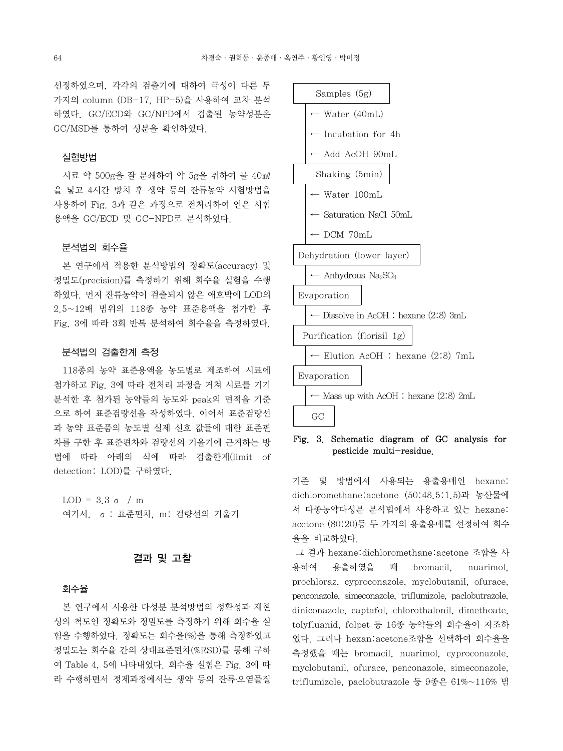선정하였으며, 각각의 검출기에 대하여 극성이 다른 두 가지의 column (DB-17, HP-5)을 사용하여 교차 분석 하였다. GC/ECD와 GC/NPD에서 검출된 농약성분은 GC/MSD를 통하여 성분을 확인하였다.

#### 실험방법

 시료 약 500g을 잘 분쇄하여 약 5g을 취하여 물 40㎖ 을 넣고 4시간 방치 후 생약 등의 잔류농약 시험방법을 사용하여 Fig. 3과 같은 과정으로 전처리하여 얻은 시험 용액을 GC/ECD 및 GC-NPD로 분석하였다.

#### 분석법의 회수율

 본 연구에서 적용한 분석방법의 정확도(accuracy) 및 정밀도(precision)를 측정하기 위해 회수율 실험을 수행 하였다. 먼저 잔류농약이 검출되지 않은 애호박에 LOD의 2.5~12배 범위의 118종 농약 표준용액을 첨가한 후 Fig. 3에 따라 3회 반복 분석하여 회수율을 측정하였다.

#### 분석법의 검출한계 측정

 118종의 농약 표준용액을 농도별로 제조하여 시료에 첨가하고 Fig. 3에 따라 전처리 과정을 거쳐 시료를 기기 분석한 후 첨가된 농약들의 농도와 peak의 면적을 기준 으로 하여 표준검량선을 작성하였다. 이어서 표준검량선 과 농약 표준품의 농도별 실제 신호 값들에 대한 표준편 차를 구한 후 표준편차와 검량선의 기울기에 근거하는 방 법에 따라 아래의 식에 따라 검출한계(limit of detection: LOD)를 구하였다.

LOD =  $3.3 \sigma / m$ 여기서, σ: 표준편차, m: 검량선의 기울기

## 결과 및 고찰

#### 회수율

 본 연구에서 사용한 다성분 분석방법의 정확성과 재현 성의 척도인 정확도와 정밀도를 측정하기 위해 회수율 실 험을 수행하였다. 정확도는 회수율(%)을 통해 측정하였고 정밀도는 회수율 간의 상대표준편차(%RSD)를 통해 구하 여 Table 4, 5에 나타내었다. 회수율 실험은 Fig. 3에 따 라 수행하면서 정제과정에서는 생약 등의 잔류․오염물질



## Fig. 3. Schematic diagram of GC analysis for pesticide multi-residue.

기준 및 방법에서 사용되는 용출용매인 hexane: dichloromethane:acetone (50:48.5:1.5)과 농산물에 서 다종농약다성분 분석법에서 사용하고 있는 hexane: acetone (80:20)등 두 가지의 용출용매를 선정하여 회수 율을 비교하였다.

 그 결과 hexane:dichloromethane:acetone 조합을 사 용하여 용출하였을 때 bromacil, nuarimol, prochloraz, cyproconazole, myclobutanil, ofurace, penconazole, simeconazole, triflumizole, paclobutrazole, diniconazole, captafol, chlorothalonil, dimethoate, tolyfluanid, folpet 등 16종 농약들의 회수율이 저조하 였다. 그러나 hexan:acetone조합을 선택하여 회수율을 측정했을 때는 bromacil, nuarimol, cyproconazole, myclobutanil, ofurace, penconazole, simeconazole, triflumizole, paclobutrazole 등 9종은 61%~116% 범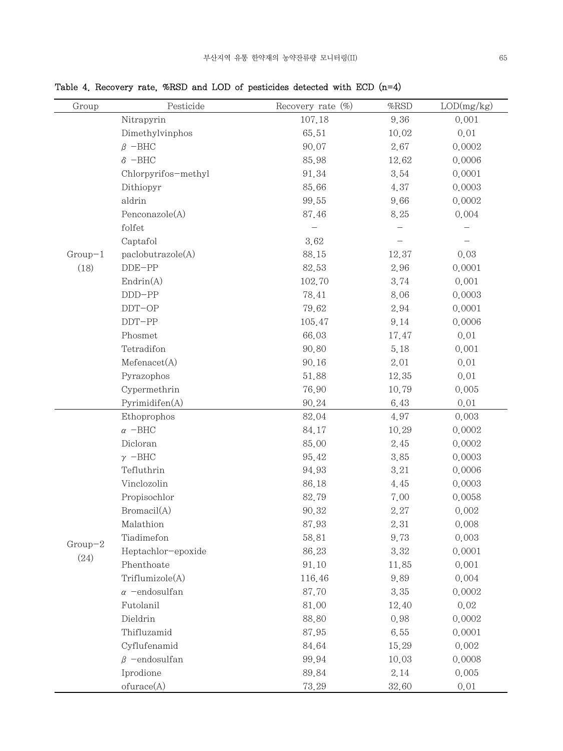Table 4. Recovery rate, %RSD and LOD of pesticides detected with ECD (n=4)

| Group     | Pesticide                   | Recovery rate $(\%)$ | $\%$ RSD | LOD(mg/kg) |
|-----------|-----------------------------|----------------------|----------|------------|
|           | Nitrapyrin                  | 107.18               | 9.36     | 0.001      |
|           | Dimethylvinphos             | 65.51                | 10.02    | 0.01       |
|           | $\beta$ -BHC                | 90.07                | 2.67     | 0.0002     |
|           | $\delta$ -BHC               | 85.98                | 12.62    | 0.0006     |
|           | Chlorpyrifos-methyl         | 91.34                | 3.54     | 0.0001     |
|           | Dithiopyr                   | 85.66                | 4.37     | 0.0003     |
|           | aldrin                      | 99.55                | 9.66     | 0.0002     |
|           | Penconazole(A)              | 87.46                | 8.25     | 0.004      |
|           | folfet                      |                      |          |            |
|           | Captafol                    | 3.62                 |          |            |
| $Group-1$ | paclobutrazole(A)           | 88.15                | 12.37    | 0.03       |
| (18)      | $DDE-PP$                    | 82.53                | 2.96     | 0.0001     |
|           | $\text{Endrin}(\mathbf{A})$ | 102.70               | 3.74     | 0.001      |
|           | $DDD-PP$                    | 78.41                | 8.06     | 0.0003     |
|           | $DDT-OP$                    | 79.62                | 2.94     | 0.0001     |
|           | $DDT-PP$                    | 105.47               | 9.14     | 0.0006     |
|           | Phosmet                     | 66.03                | 17.47    | 0.01       |
|           | Tetradifon                  | 90.80                | 5.18     | 0.001      |
|           | Mefenacet(A)                | 90.16                | 2.01     | 0.01       |
|           | Pyrazophos                  | 51.88                | 12.35    | 0.01       |
|           | Cypermethrin                | 76.90                | 10.79    | 0.005      |
|           | Pyrimidifen(A)              | 90.24                | 6.43     | 0.01       |
|           | Ethoprophos                 | 82.04                | 4.97     | 0.003      |
|           | $\alpha$ -BHC               | 84.17                | 10.29    | 0.0002     |
|           | Dicloran                    | 85.00                | 2.45     | 0.0002     |
|           | $\gamma$ -BHC               | 95.42                | 3.85     | 0.0003     |
|           | Tefluthrin                  | 94.93                | 3.21     | 0.0006     |
|           | Vinclozolin                 | 86.18                | 4.45     | 0.0003     |
|           | Propisochlor                | 82.79                | 7.00     | 0.0058     |
|           | Bromacil(A)                 | 90.32                | 2.27     | 0.002      |
|           | Malathion                   | 87.93                | 2.31     | 0.008      |
| $Group-2$ | Tiadimefon                  | 58.81                | 9.73     | 0.003      |
|           | Heptachlor-epoxide          | 86.23                | 3.32     | 0.0001     |
| (24)      | Phenthoate                  | 91.10                | 11.85    | 0.001      |
|           | Triflumizole(A)             | 116.46               | 9.89     | 0.004      |
|           | $\alpha$ -endosulfan        | 87.70                | 3.35     | 0.0002     |
|           | Futolanil                   | 81.00                | 12.40    | 0.02       |
|           | Dieldrin                    | 88.80                | 0.98     | 0.0002     |
|           | Thifluzamid                 | 87.95                | 6.55     | 0.0001     |
|           | Cyflufenamid                | 84.64                | 15.29    | 0.002      |
|           | $\beta$ -endosulfan         | 99.94                | 10.03    | 0.0008     |
|           | Iprodione                   | 89.84                | 2.14     | 0.005      |
|           | ofurace(A)                  | 73.29                | 32.60    | 0.01       |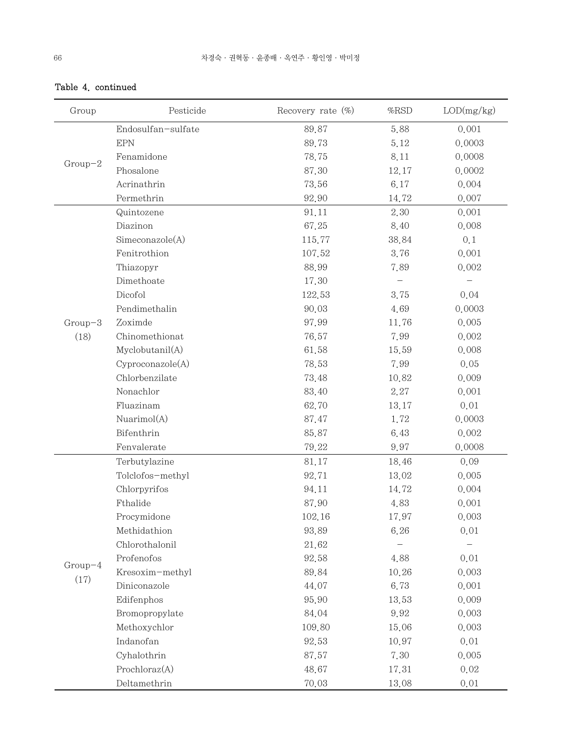| Group     | Pesticide          | Recovery rate $(\%)$ | %RSD  | LOD(mg/kg)        |
|-----------|--------------------|----------------------|-------|-------------------|
|           | Endosulfan-sulfate | 89.87                | 5.88  | 0.001             |
|           | <b>EPN</b>         | 89.73                | 5.12  | 0.0003            |
|           | Fenamidone         | 78.75                | 8.11  | 0.0008            |
| $Group-2$ | Phosalone          | 87.30                | 12.17 | 0.0002            |
|           | Acrinathrin        | 73.56                | 6.17  | 0.004             |
|           | Permethrin         | 92.90                | 14.72 | 0.007             |
|           | Quintozene         | 91.11                | 2.30  | 0.001             |
|           | Diazinon           | 67.25                | 8.40  | 0.008             |
|           | Simeconazole(A)    | 115.77               | 38.84 | 0.1               |
|           | Fenitrothion       | 107.52               | 3.76  | 0.001             |
|           | Thiazopyr          | 88.99                | 7.89  | 0.002             |
|           | Dimethoate         | 17.30                |       | $\qquad \qquad -$ |
|           | Dicofol            | 122.53               | 3.75  | 0.04              |
|           | Pendimethalin      | 90.03                | 4.69  | 0.0003            |
| $Group-3$ | Zoximde            | 97.99                | 11.76 | 0.005             |
| (18)      | Chinomethionat     | 76.57                | 7.99  | 0.002             |
|           | Myclobutanil(A)    | 61.58                | 15.59 | 0.008             |
|           | Cyproconazole(A)   | 78.53                | 7.99  | 0.05              |
|           | Chlorbenzilate     | 73.48                | 10.82 | 0.009             |
|           | Nonachlor          | 83.40                | 2.27  | 0.001             |
|           | Fluazinam          | 62.70                | 13.17 | 0.01              |
|           | Nuarimol(A)        | 87.47                | 1.72  | 0.0003            |
|           | Bifenthrin         | 85.87                | 6.43  | 0.002             |
|           | Fenvalerate        | 79.22                | 9.97  | 0.0008            |
|           | Terbutylazine      | 81.17                | 18.46 | 0.09              |
|           | Tolclofos-methyl   | 92.71                | 13.02 | 0.005             |
|           | Chlorpyrifos       | 94.11                | 14.72 | 0.004             |
|           | Fthalide           | 87.90                | 4.83  | 0.001             |
|           | Procymidone        | 102.16               | 17.97 | 0.003             |
|           | Methidathion       | 93.89                | 6.26  | 0.01              |
|           | Chlorothalonil     | 21.62                |       |                   |
|           | Profenofos         | 92.58                | 4.88  | 0.01              |
| $Group-4$ | Kresoxim-methyl    | 89.84                | 10.26 | 0.003             |
| (17)      | Diniconazole       | 44.07                | 6.73  | 0.001             |
|           | Edifenphos         | 95.90                | 13.53 | 0.009             |
|           | Bromopropylate     | 84.04                | 9.92  | 0.003             |
|           | Methoxychlor       | 109.80               | 15.06 | 0.003             |
|           | Indanofan          | 92.53                | 10.97 | 0.01              |
|           | Cyhalothrin        | 87.57                | 7.30  | 0.005             |
|           | Prochloraz(A)      | 48.67                | 17.31 | 0.02              |
|           | Deltamethrin       | 70.03                | 13.08 | 0.01              |

# Table 4. continued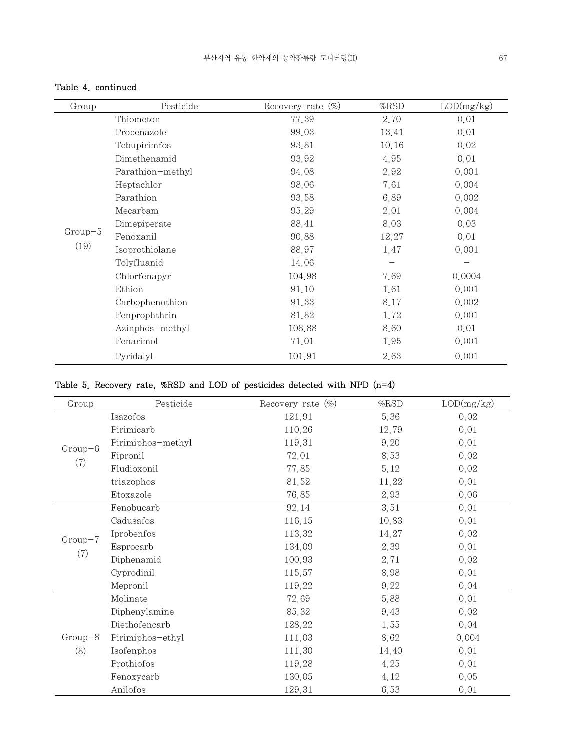## Table 4. continued

| Group     | Pesticide        | Recovery rate $(\%)$ | %RSD  | LOD(mg/kg) |
|-----------|------------------|----------------------|-------|------------|
|           | Thiometon        | 77.39                | 2.70  | 0.01       |
|           | Probenazole      | 99.03                | 13.41 | 0.01       |
|           | Tebupirimfos     | 93.81                | 10.16 | 0.02       |
|           | Dimethenamid     | 93.92                | 4.95  | 0.01       |
|           | Parathion-methyl | 94.08                | 2.92  | 0.001      |
|           | Heptachlor       | 98.06                | 7.61  | 0.004      |
|           | Parathion        | 93.58                | 6.89  | 0.002      |
|           | Mecarbam         | 95.29                | 2.01  | 0.004      |
|           | Dimepiperate     | 88.41                | 8.03  | 0.03       |
| $Group-5$ | Fenoxanil        | 90.88                | 12.27 | 0.01       |
| (19)      | Isoprothiolane   | 88.97                | 1.47  | 0.001      |
|           | Tolyfluanid      | 14.06                |       |            |
|           | Chlorfenapyr     | 104.98               | 7.69  | 0.0004     |
|           | Ethion           | 91.10                | 1.61  | 0.001      |
|           | Carbophenothion  | 91.33                | 8.17  | 0.002      |
|           | Fenprophthrin    | 81.82                | 1.72  | 0.001      |
|           | Azinphos-methyl  | 108.88               | 8.60  | 0.01       |
|           | Fenarimol        | 71.01                | 1.95  | 0.001      |
|           | Pyridalyl        | 101.91               | 2.63  | 0.001      |

# Table 5. Recovery rate, %RSD and LOD of pesticides detected with NPD (n=4)

| Group     | Pesticide         | Recovery rate $(\%)$ | $%$ RSD | LOD(mg/kg) |
|-----------|-------------------|----------------------|---------|------------|
|           | Isazofos          | 121.91               | 5.36    | 0.02       |
|           | Pirimicarb        | 110.26               | 12.79   | 0.01       |
| $Group-6$ | Pirimiphos-methyl | 119.31               | 9.20    | 0.01       |
|           | Fipronil          | 72.01                | 8.53    | 0.02       |
| (7)       | Fludioxonil       | 77.85                | 5.12    | 0.02       |
|           | triazophos        | 81.52                | 11.22   | 0.01       |
|           | Etoxazole         | 76.85                | 2.93    | 0.06       |
|           | Fenobucarb        | 92.14                | 3.51    | 0.01       |
|           | Cadusafos         | 116.15               | 10.83   | 0.01       |
| $Group-7$ | Iprobenfos        | 113.32               | 14.27   | 0.02       |
|           | Esprocarb         | 134.09               | 2.39    | 0.01       |
| (7)       | Diphenamid        | 100.93               | 2.71    | 0.02       |
|           | Cyprodinil        | 115.57               | 8.98    | 0.01       |
|           | Mepronil          | 119.22               | 9.22    | 0.04       |
|           | Molinate          | 72.69                | 5.88    | 0.01       |
|           | Diphenylamine     | 85.32                | 9.43    | 0.02       |
|           | Diethofencarb     | 128.22               | 1.55    | 0.04       |
| $Group-8$ | Pirimiphos-ethyl  | 111.03               | 8.62    | 0.004      |
| (8)       | Isofenphos        | 111.30               | 14.40   | 0.01       |
|           | Prothiofos        | 119.28               | 4.25    | 0.01       |
|           | Fenoxycarb        | 130.05               | 4.12    | 0.05       |
|           | Anilofos          | 129.31               | 6.53    | 0.01       |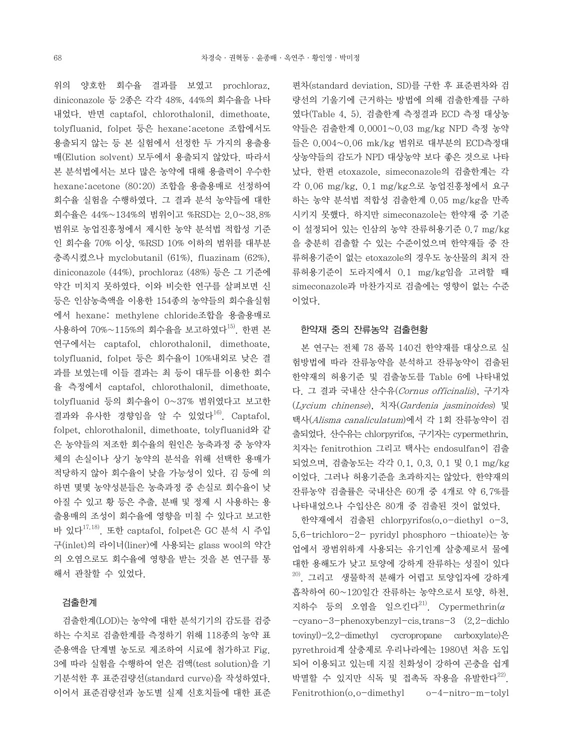위의 양호한 회수율 결과를 보였고 prochloraz, diniconazole 등 2종은 각각 48%, 44%의 회수율을 나타 내었다. 반면 captafol, chlorothalonil, dimethoate, tolyfluanid, folpet 등은 hexane:acetone 조합에서도 용출되지 않는 등 본 실험에서 선정한 두 가지의 용출용 매(Elution solvent) 모두에서 용출되지 않았다. 따라서 본 분석법에서는 보다 많은 농약에 대해 용출력이 우수한 hexane:acetone (80:20) 조합을 용출용매로 선정하여 회수율 실험을 수행하였다. 그 결과 분석 농약들에 대한 회수율은 44%~134%의 범위이고 %RSD는 2.0~38.8% 범위로 농업진흥청에서 제시한 농약 분석법 적합성 기준 인 회수율 70% 이상, %RSD 10% 이하의 범위를 대부분 충족시켰으나 myclobutanil (61%), fluazinam (62%), diniconazole (44%), prochloraz (48%) 등은 그 기준에 약간 미치지 못하였다. 이와 비슷한 연구를 살펴보면 신 등은 인삼농축액을 이용한 154종의 농약들의 회수율실험 에서 hexane: methylene chloride조합을 용출용매로 사용하여  $70\% \sim 115\%$ 의 회수율을 보고하였다 $^{15)}$ . 한편 본 연구에서는 captafol, chlorothalonil, dimethoate, tolyfluanid, folpet 등은 회수율이 10%내외로 낮은 결 과를 보였는데 이들 결과는 최 등이 대두를 이용한 회수 율 측정에서 captafol, chlorothalonil, dimethoate, tolyfluanid 등의 회수율이 0~37% 범위였다고 보고한 결과와 유사한 경향임을 알 수 있었다 $^{16}$ . Captafol. folpet, chlorothalonil, dimethoate, tolyfluanid와 같 은 농약들의 저조한 회수율의 원인은 농축과정 중 농약자 체의 손실이나 상기 농약의 분석을 위해 선택한 용매가 적당하지 않아 회수율이 낮을 가능성이 있다. 김 등에 의 하면 몇몇 농약성분들은 농축과정 중 손실로 회수율이 낮 아질 수 있고 황 등은 추출, 분배 및 정제 시 사용하는 용 출용매의 조성이 회수율에 영향을 미칠 수 있다고 보고한 바 있다17,18). 또한 captafol, folpet은 GC 분석 시 주입 구(inlet)의 라이너(liner)에 사용되는 glass wool의 약간 의 오염으로도 회수율에 영향을 받는 것을 본 연구를 통 해서 관찰할 수 있었다.

### 검출한계

 검출한계(LOD)는 농약에 대한 분석기기의 감도를 검증 하는 수치로 검출한계를 측정하기 위해 118종의 농약 표 준용액을 단계별 농도로 제조하여 시료에 첨가하고 Fig. 3에 따라 실험을 수행하여 얻은 검액(test solution)을 기 기분석한 후 표준검량선(standard curve)을 작성하였다. 이어서 표준검량선과 농도별 실제 신호치들에 대한 표준

편차(standard deviation, SD)를 구한 후 표준편차와 검 량선의 기울기에 근거하는 방법에 의해 검출한계를 구하 였다(Table 4, 5). 검출한계 측정결과 ECD 측정 대상농 약들은 검출한계 0.0001~0.03 mg/kg NPD 측정 농약 들은 0.004~0.06 mk/kg 범위로 대부분의 ECD측정대 상농약들의 감도가 NPD 대상농약 보다 좋은 것으로 나타 났다. 한편 etoxazole, simeconazole의 검출한계는 각 각 0.06 mg/kg, 0.1 mg/kg으로 농업진흥청에서 요구 하는 농약 분석법 적합성 검출한계 0.05 mg/kg을 만족 시키지 못했다. 하지만 simeconazole는 한약재 중 기준 이 설정되어 있는 인삼의 농약 잔류허용기준 0.7 mg/kg 을 충분히 검출할 수 있는 수준이었으며 한약재들 중 잔 류허용기준이 없는 etoxazole의 경우도 농산물의 최저 잔 류허용기준이 도라지에서 0.1 mg/kg임을 고려할 때 simeconazole과 마찬가지로 검출에는 영향이 없는 수준 이었다.

### 한약재 중의 잔류농약 검출현황

 본 연구는 전체 78 품목 140건 한약재를 대상으로 실 험방법에 따라 잔류농약을 분석하고 잔류농약이 검출된 한약재의 허용기준 및 검출농도를 Table 6에 나타내었 다. 그 결과 국내산 산수유(Cornus officinalis), 구기자 (Lycium chinense), 치자(Gardenia jasminoides) 및 택사(Alisma canaliculatum)에서 각 1회 잔류농약이 검 출되었다. 산수유는 chlorpyrifos, 구기자는 cypermethrin, 치자는 fenitrothion 그리고 택사는 endosulfan이 검출 되었으며, 검출농도는 각각 0.1, 0.3, 0.1 및 0.1 mg/kg 이었다. 그러나 허용기준을 초과하지는 않았다. 한약재의 잔류농약 검출률은 국내산은 60개 중 4개로 약 6.7%를 나타내었으나 수입산은 80개 중 검출된 것이 없었다.

 한약재에서 검출된 chlorpyrifos(o,o-diethyl o-3, 5,6-trichloro-2- pyridyl phosphoro -thioate)는 농 업에서 광범위하게 사용되는 유기인계 살충제로서 물에 대한 용해도가 낮고 토양에 강하게 잔류하는 성질이 있다  $^{20)}$ . 그리고 생물학적 분해가 어렵고 토양입자에 강하게 흡착하여 60~120일간 잔류하는 농약으로서 토양, 하천, 지하수 등의 오염을 일으킨다 $^{21}$ . Cypermethrin( $\alpha$ -cyano-3-phenoxybenzyl-cis,trans-3 (2,2-dichlo tovinyl)-2,2-dimethyl cycropropane carboxylate)은 pyrethroid계 살충제로 우리나라에는 1980년 처음 도입 되어 이용되고 있는데 지질 친화성이 강하여 곤충을 쉽게 박멸할 수 있지만 식독 및 접촉독 작용을 유발한다<sup>22)</sup>. Fenitrothion(0,0-dimethyl o-4-nitro-m-tolyl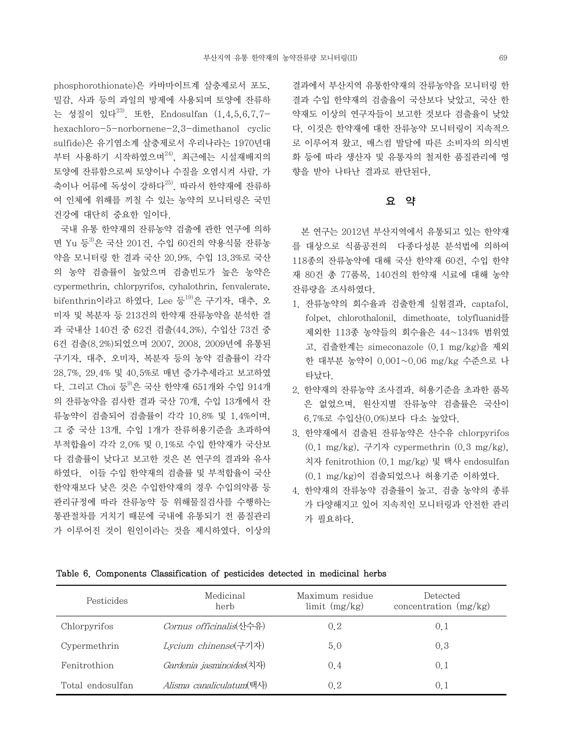phosphorothionate)은 카바마이트계 살충제로서 포도, 밀감, 사과 등의 과일의 방제에 사용되며 토양에 잔류하 는 성질이 있다23). 또한, Endosulfan (1,4,5,6,7,7 hexachloro-5-norbornene-2,3-dimethanol cyclic sulfide)은 유기염소계 살충제로서 우리나라는 1970년대 부터 사용하기 시작하였으며 $^{24)}$ , 최근에는 시설재배지의 토양에 잔류함으로써 토양이나 수질을 오염시켜 사람, 가 축이나 어류에 독성이 강하다<sup>25)</sup>. 따라서 한약재에 잔류하 여 인체에 위해를 끼칠 수 있는 농약의 모니터링은 국민 건강에 대단히 중요한 일이다.

 국내 유통 한약재의 잔류농약 검출에 관한 연구에 의하 면 Yu 등<sup>3)</sup>은 국산 201건, 수입 60건의 약용식물 잔류농 약을 모니터링 한 결과 국산 20.9%, 수입 13.3%로 국산 의 농약 검출률이 높았으며 검출빈도가 높은 농약은 cypermethrin, chlorpyrifos, cyhalothrin, fenvalerate,  $b$ ifenthrin이라고 하였다. Lee 등 $^{19)}$ 은 구기자, 대추, 오 미자 및 복분자 등 213건의 한약재 잔류농약을 분석한 결 과 국내산 140건 중 62건 검출(44.3%), 수입산 73건 중 6건 검출(8.2%)되었으며 2007, 2008, 2009년에 유통된 구기자, 대추, 오미자, 복분자 등의 농약 검출률이 각각 28.7%, 29.4% 및 40.5%로 매년 증가추세라고 보고하였 다. 그리고 Choi 등 <sup>9)</sup>은 국산 한약재 651개와 수입 914개 의 잔류농약을 검사한 결과 국산 70개, 수입 13개에서 잔 류농약이 검출되어 검출률이 각각 10.8% 및 1.4%이며, 그 중 국산 13개, 수입 1개가 잔류허용기준을 초과하여 부적합율이 각각 2.0% 및 0.1%로 수입 한약재가 국산보 다 검출률이 낮다고 보고한 것은 본 연구의 결과와 유사 하였다. 이들 수입 한약재의 검출률 및 부적합율이 국산 한약재보다 낮은 것은 수입한약재의 경우 수입의약품 등 관리규정에 따라 잔류농약 등 위해물질검사를 수행하는 통관절차를 거치기 때문에 국내에 유통되기 전 품질관리 가 이루어진 것이 원인이라는 것을 제시하였다. 이상의 결과에서 부산지역 유통한약재의 잔류농약을 모니터링 한 결과 수입 한약재의 검출율이 국산보다 낮았고, 국산 한 약재도 이상의 연구자들이 보고한 것보다 검출율이 낮았 다. 이것은 한약재에 대한 잔류농약 모니터링이 지속적으 로 이루어져 왔고, 매스컴 발달에 따른 소비자의 의식변 화 등에 따라 생산자 및 유통자의 철저한 품질관리에 영 향을 받아 나타난 결과로 판단된다.

## 요 약

 본 연구는 2012년 부산지역에서 유통되고 있는 한약재 를 대상으로 식품공전의 다종다성분 분석법에 의하여 118종의 잔류농약에 대해 국산 한약재 60건, 수입 한약 재 80건 총 77품목, 140건의 한약재 시료에 대해 농약 잔류량을 조사하였다.

- 1. 잔류농약의 회수율과 검출한계 실험결과, captafol, folpet, chlorothalonil, dimethoate, tolyfluanid를 제외한 113종 농약들의 회수율은 44~134% 범위였 고, 검출한계는 simeconazole (0.1 mg/kg)을 제외 한 대부분 농약이 0.001~0.06 mg/kg 수준으로 나 타났다.
- 2. 한약재의 잔류농약 조사결과, 허용기준을 초과한 품목 은 없었으며, 원산지별 잔류농약 검출률은 국산이 6.7%로 수입산(0.0%)보다 다소 높았다.
- 3. 한약재에서 검출된 잔류농약은 산수유 chlorpyrifos (0.1 mg/kg), 구기자 cypermethrin (0.3 mg/kg), 치자 fenitrothion (0.1 mg/kg) 및 택사 endosulfan (0.1 mg/kg)이 검출되었으나 허용기준 이하였다.
- 4. 한약재의 잔류농약 검출률이 높고, 검출 농약의 종류 가 다양해지고 있어 지속적인 모니터링과 안전한 관리 가 필요하다.

| Pesticides       | Medicinal<br>herb                | Maximum residue<br>$\lim$ it $(mg/kg)$ | Detected<br>concentration $(mg/kg)$ |
|------------------|----------------------------------|----------------------------------------|-------------------------------------|
| Chlorpyrifos     | <i>Cornus officinalis</i> (산수유)  | 0.2                                    | 0.1                                 |
| Cypermethrin     | Lycium chinense(구기자)             | 5.0                                    | 0.3                                 |
| Fenitrothion     | Gardenia jasminoides(치자)         | 0.4                                    | 0.1                                 |
| Total endosulfan | <i>Alisma canaliculatum</i> (택사) | 0.2                                    | 0.1                                 |

#### Table 6. Components Classification of pesticides detected in medicinal herbs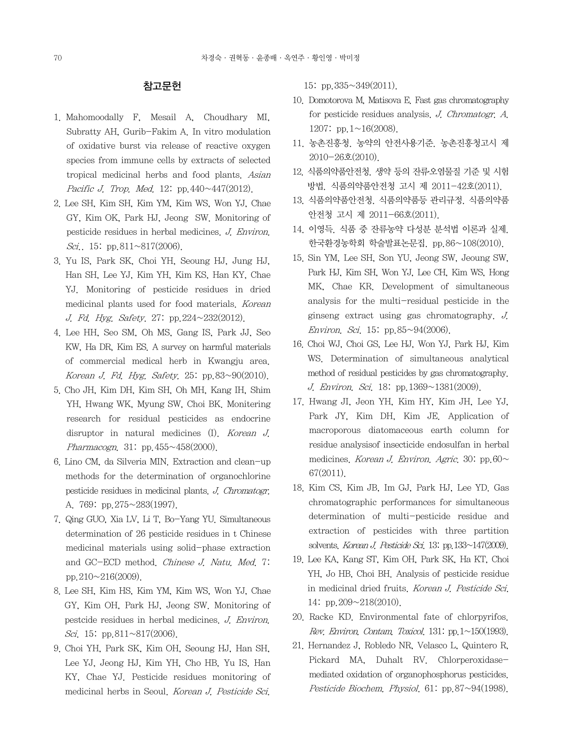## 참고문헌

- 1. Mahomoodally F, Mesail A, Choudhary MI, Subratty AH, Gurib-Fakim A. In vitro modulation of oxidative burst via release of reactive oxygen species from immune cells by extracts of selected tropical medicinal herbs and food plants. Asian Pacific J. Trop. Med. 12: pp. 440 $\sim$ 447(2012).
- 2. Lee SH, Kim SH, Kim YM, Kim WS, Won YJ, Chae GY, Kim OK, Park HJ, Jeong SW. Monitoring of pesticide residues in herbal medicines. J. Environ. Sci.. 15: pp.811~817(2006).
- 3. Yu IS, Park SK, Choi YH, Seoung HJ, Jung HJ, Han SH, Lee YJ, Kim YH, Kim KS, Han KY, Chae YJ. Monitoring of pesticide residues in dried medicinal plants used for food materials. Korean J. Fd. Hyg. Safety. 27: pp.224~232(2012).
- 4. Lee HH, Seo SM, Oh MS, Gang IS, Park JJ, Seo KW, Ha DR, Kim ES. A survey on harmful materials of commercial medical herb in Kwangju area. Korean J. Fd. Hyg. Safety. 25: pp.83~90(2010).
- 5. Cho JH, Kim DH, Kim SH, Oh MH, Kang IH, Shim YH, Hwang WK, Myung SW, Choi BK. Monitering research for residual pesticides as endocrine disruptor in natural medicines (I). Korean J. Pharmacogn. 31: pp.455~458(2000).
- 6. Lino CM, da Silveria MIN. Extraction and clean-up methods for the determination of organochlorine pesticide residues in medicinal plants. J. Chromatogr. A. 769: pp.275~283(1997).
- 7. Qing GUO, Xia LV, Li T, Bo-Yang YU. Simultaneous determination of 26 pesticide residues in t Chinese medicinal materials using solid-phase extraction and GC-ECD method. Chinese J. Natu. Med. 7: pp.  $210 \sim 216(2009)$ .
- 8. Lee SH, Kim HS, Kim YM, Kim WS, Won YJ, Chae GY, Kim OH, Park HJ, Jeong SW. Monitoring of pestcide residues in herbal medicines. J. Environ. Sci. 15: pp.811~817(2006).
- 9. Choi YH, Park SK, Kim OH, Seoung HJ, Han SH, Lee YJ, Jeong HJ, Kim YH, Cho HB, Yu IS, Han KY, Chae YJ. Pesticide residues monitoring of medicinal herbs in Seoul. Korean J. Pesticide Sci.

15: pp.335~349(2011).

- 10. Domotorova M, Matisova E. Fast gas chromatography for pesticide residues analysis. J. Chromatogr. A. 1207: pp.1~16(2008).
- 11. 농촌진흥청. 농약의 안전사용기준. 농촌진흥청고시 제 2010-26호(2010).
- 12. 식품의약품안전청. 생약 등의 잔류․오염물질 기준 및 시험 방법. 식품의약품안전청 고시 제 2011-42호(2011).
- 13. 식품의약품안전청. 식품의약품등 관리규정. 식품의약품 안전청 고시 제 2011-66호(2011).
- 14. 이영득. 식품 중 잔류농약 다성분 분석법 이론과 실제. 한국환경농학회 학술발표논문집. pp.86~108(2010).
- 15. Sin YM, Lee SH, Son YU, Jeong SW, Jeoung SW, Park HJ, Kim SH, Won YJ, Lee CH, Kim WS, Hong MK, Chae KR. Development of simultaneous analysis for the multi-residual pesticide in the ginseng extract using gas chromatography. J. Environ. Sci. 15: pp.  $85 \sim 94(2006)$ .
- 16. Choi WJ, Choi GS, Lee HJ, Won YJ, Park HJ, Kim WS. Determination of simultaneous analytical method of residual pesticides by gas chromatography. J. Environ. Sci. 18: pp.1369~1381(2009).
- 17. Hwang JI, Jeon YH, Kim HY, Kim JH, Lee YJ, Park JY, Kim DH, Kim JE. Application of macroporous diatomaceous earth column for residue analysisof insecticide endosulfan in herbal medicines. Korean J. Environ. Agric. 30: pp.60 $\sim$ 67(2011).
- 18. Kim CS, Kim JB, Im GJ, Park HJ, Lee YD. Gas chromatographic performances for simultaneous determination of multi-pesticide residue and extraction of pesticides with three partition solvents. Korean J. Pesticide Sci. 13: pp. 133~147(2009).
- 19. Lee KA, Kang ST, Kim OH, Park SK, Ha KT, Choi YH, Jo HB, Choi BH. Analysis of pesticide residue in medicinal dried fruits. Korean J. Pesticide Sci. 14: pp.209~218(2010).
- 20. Racke KD. Environmental fate of chlorpyrifos. Rev. Environ. Contam. Toxicol. 131: pp.  $1 \sim 150(1993)$ .
- 21. Hernandez J, Robledo NR, Velasco L, Quintero R, Pickard MA, Duhalt RV. Chlorperoxidasemediated oxidation of organophosphorus pesticides. Pesticide Biochem. Physiol. 61: pp.87~94(1998).